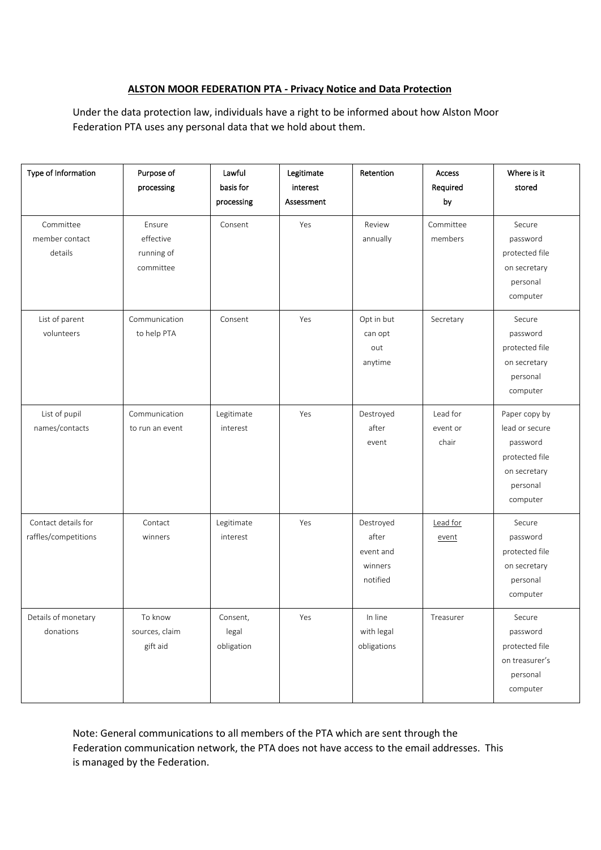# **ALSTON MOOR FEDERATION PTA - Privacy Notice and Data Protection**

Under the data protection law, individuals have a right to be informed about how Alston Moor Federation PTA uses any personal data that we hold about them.

| Type of Information                         | Purpose of<br>processing                       | Lawful<br>basis for<br>processing | Legitimate<br>interest<br>Assessment | Retention                                              | Access<br>Required<br>by      | Where is it<br>stored                                                                                 |
|---------------------------------------------|------------------------------------------------|-----------------------------------|--------------------------------------|--------------------------------------------------------|-------------------------------|-------------------------------------------------------------------------------------------------------|
| Committee<br>member contact<br>details      | Ensure<br>effective<br>running of<br>committee | Consent                           | Yes                                  | Review<br>annually                                     | Committee<br>members          | Secure<br>password<br>protected file<br>on secretary<br>personal<br>computer                          |
| List of parent<br>volunteers                | Communication<br>to help PTA                   | Consent                           | Yes                                  | Opt in but<br>can opt<br>out<br>anytime                | Secretary                     | Secure<br>password<br>protected file<br>on secretary<br>personal<br>computer                          |
| List of pupil<br>names/contacts             | Communication<br>to run an event               | Legitimate<br>interest            | Yes                                  | Destroyed<br>after<br>event                            | Lead for<br>event or<br>chair | Paper copy by<br>lead or secure<br>password<br>protected file<br>on secretary<br>personal<br>computer |
| Contact details for<br>raffles/competitions | Contact<br>winners                             | Legitimate<br>interest            | Yes                                  | Destroyed<br>after<br>event and<br>winners<br>notified | Lead for<br>event             | Secure<br>password<br>protected file<br>on secretary<br>personal<br>computer                          |
| Details of monetary<br>donations            | To know<br>sources, claim<br>gift aid          | Consent,<br>legal<br>obligation   | Yes                                  | In line<br>with legal<br>obligations                   | Treasurer                     | Secure<br>password<br>protected file<br>on treasurer's<br>personal<br>computer                        |

Note: General communications to all members of the PTA which are sent through the Federation communication network, the PTA does not have access to the email addresses. This is managed by the Federation.